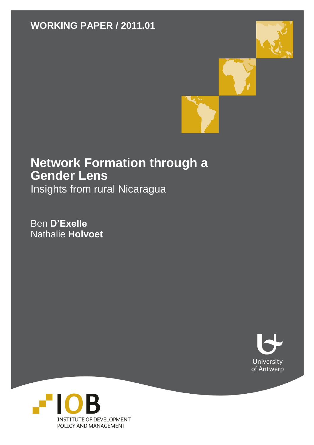### **WORKING PAPER / 2011.01**





# **Network Formation through a Gender Lens**

Insights from rural Nicaragua

Ben **D'Exelle** Nathalie **Holvoet**



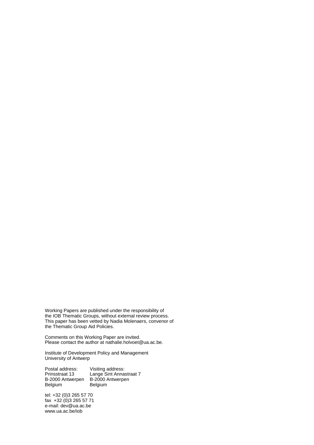Working Papers are published under the responsibility of the IOB Thematic Groups, without external review process. This paper has been vetted by Nadia Molenaers, convenor of the Thematic Group Aid Policies.

Comments on this Working Paper are invited. Please contact the author at nathalie.holvoet@ua.ac.be.

Institute of Development Policy and Management University of Antwerp

Postal address: Visiting address: Prinsstraat 13 Lange Sint Annastraat 7 B-2000 Antwerpen B-2000 Antwerpen Belgium Belgium

tel: +32 (0)3 265 57 70 fax +32 (0)3 265 57 71 e-mail: dev@ua.ac.be www.ua.ac.be/iob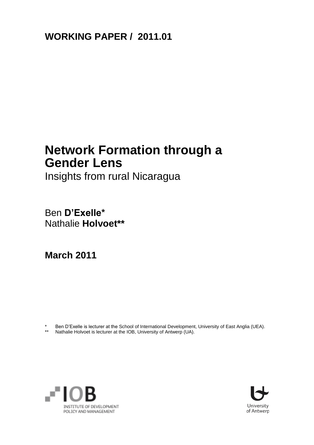### **WORKING PAPER / 2011.01**

### **Network Formation through a Gender Lens**

Insights from rural Nicaragua

Ben **D'Exelle\*** Nathalie **Holvoet\*\***

**March 2011**

\* Ben D"Exelle is lecturer at the School of International Development, University of East Anglia (UEA).

\*\* Nathalie Holvoet is lecturer at the IOB, University of Antwerp (UA).



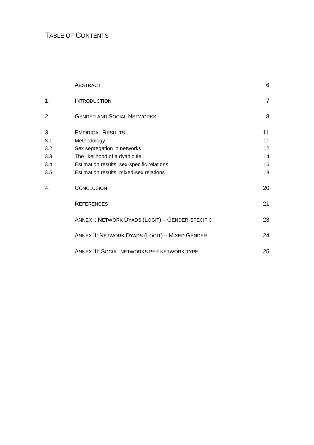### TABLE OF CONTENTS

|      | <b>ABSTRACT</b>                                  | 6              |
|------|--------------------------------------------------|----------------|
| 1.   | <b>INTRODUCTION</b>                              | $\overline{7}$ |
| 2.   | <b>GENDER AND SOCIAL NETWORKS</b>                | 8              |
| 3.   | <b>EMPIRICAL RESULTS</b>                         | 11             |
| 3.1  | Methodology                                      | 11             |
| 3.2. | Sex segregation in networks                      | 12             |
| 3.3. | The likelihood of a dyadic tie                   | 14             |
| 3.4. | Estimation results: sex-specific relations       | 16             |
| 3.5. | Estimation results: mixed-sex relations          | 18             |
| 4.   | <b>CONCLUSION</b>                                | 20             |
|      | <b>REFERENCES</b>                                | 21             |
|      | ANNEX I: NETWORK DYADS (LOGIT) - GENDER-SPECIFIC | 23             |
|      | ANNEX II: NETWORK DYADS (LOGIT) - MIXED GENDER   | 24             |
|      | ANNEX III: SOCIAL NETWORKS PER NETWORK TYPE      | 25             |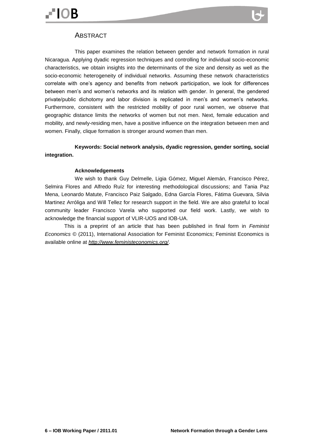

### <span id="page-5-0"></span>**ABSTRACT**

This paper examines the relation between gender and network formation in rural Nicaragua. Applying dyadic regression techniques and controlling for individual socio-economic characteristics, we obtain insights into the determinants of the size and density as well as the socio-economic heterogeneity of individual networks. Assuming these network characteristics correlate with one"s agency and benefits from network participation, we look for differences between men"s and women"s networks and its relation with gender. In general, the gendered private/public dichotomy and labor division is replicated in men"s and women"s networks. Furthermore, consistent with the restricted mobility of poor rural women, we observe that geographic distance limits the networks of women but not men. Next, female education and mobility, and newly-residing men, have a positive influence on the integration between men and women. Finally, clique formation is stronger around women than men.

#### **Keywords: Social network analysis, dyadic regression, gender sorting, social integration.**

#### **Acknowledgements**

We wish to thank Guy Delmelle, Ligia Gómez, Miguel Alemán, Francisco Pérez, Selmira Flores and Alfredo Ruíz for interesting methodological discussions; and Tania Paz Mena, Leonardo Matute, Francisco Paiz Salgado, Edna García Flores, Fátima Guevara, Silvia Martinez Arróliga and Will Tellez for research support in the field. We are also grateful to local community leader Francisco Varela who supported our field work. Lastly, we wish to acknowledge the financial support of VLIR-UOS and IOB-UA.

This is a preprint of an article that has been published in final form in *Feminist Economics* © (2011), International Association for Feminist Economics; Feminist Economics is available online at *<http://www.feministeconomics.org/>*.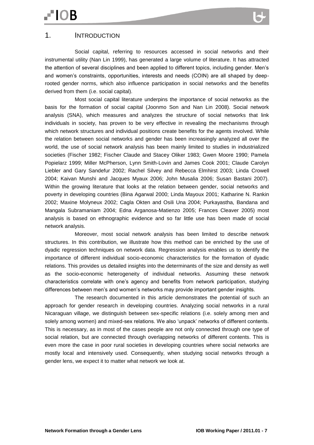<span id="page-6-0"></span>Social capital, referring to resources accessed in social networks and their instrumental utility (Nan Lin 1999), has generated a large volume of literature. It has attracted the attention of several disciplines and been applied to different topics, including gender. Men"s and women"s constraints, opportunities, interests and needs (COIN) are all shaped by deeprooted gender norms, which also influence participation in social networks and the benefits derived from them (i.e. social capital).

Most social capital literature underpins the importance of social networks as the basis for the formation of social capital (Joonmo Son and Nan Lin 2008). Social network analysis (SNA), which measures and analyzes the structure of social networks that link individuals in society, has proven to be very effective in revealing the mechanisms through which network structures and individual positions create benefits for the agents involved. While the relation between social networks and gender has been increasingly analyzed all over the world, the use of social network analysis has been mainly limited to studies in industrialized societies (Fischer 1982; Fischer Claude and Stacey Oliker 1983; Gwen Moore 1990; Pamela Popielarz 1999; Miller McPherson, Lynn Smith-Lovin and James Cook 2001; Claude Carolyn Liebler and Gary Sandefur 2002; Rachel Silvey and Rebecca Elmhirst 2003; Linda Crowell 2004; Kaivan Munshi and Jacques Myaux 2006; John Musalia 2006; Susan Bastani 2007). Within the growing literature that looks at the relation between gender, social networks and poverty in developing countries (Bina Agarwal 2000; Linda Mayoux 2001; Katharine N. Rankin 2002; Maxine Molyneux 2002; Cagla Okten and Osili Una 2004; Purkayastha, Bandana and Mangala Subramaniam 2004; Edna Arganosa-Matienzo 2005; Frances Cleaver 2005) most analysis is based on ethnographic evidence and so far little use has been made of social network analysis.

Moreover, most social network analysis has been limited to describe network structures. In this contribution, we illustrate how this method can be enriched by the use of dyadic regression techniques on network data. Regression analysis enables us to identify the importance of different individual socio-economic characteristics for the formation of dyadic relations. This provides us detailed insights into the determinants of the size and density as well as the socio-economic heterogeneity of individual networks. Assuming these network characteristics correlate with one"s agency and benefits from network participation, studying differences between men"s and women"s networks may provide important gender insights.

The research documented in this article demonstrates the potential of such an approach for gender research in developing countries. Analyzing social networks in a rural Nicaraguan village, we distinguish between sex-specific relations (i.e. solely among men and solely among women) and mixed-sex relations. We also 'unpack' networks of different contents. This is necessary, as in most of the cases people are not only connected through one type of social relation, but are connected through overlapping networks of different contents. This is even more the case in poor rural societies in developing countries where social networks are mostly local and intensively used. Consequently, when studying social networks through a gender lens, we expect it to matter what network we look at.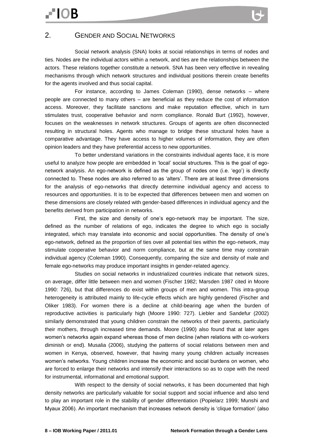### <span id="page-7-0"></span>2. GENDER AND SOCIAL NETWORKS

Social network analysis (SNA) looks at social relationships in terms of nodes and ties. Nodes are the individual actors within a network, and ties are the relationships between the actors. These relations together constitute a network. SNA has been very effective in revealing mechanisms through which network structures and individual positions therein create benefits for the agents involved and thus social capital.

For instance, according to James Coleman (1990), dense networks – where people are connected to many others – are beneficial as they reduce the cost of information access. Moreover, they facilitate sanctions and make reputation effective, which in turn stimulates trust, cooperative behavior and norm compliance. Ronald Burt (1992), however, focuses on the weaknesses in network structures. Groups of agents are often disconnected resulting in structural holes. Agents who manage to bridge these structural holes have a comparative advantage. They have access to higher volumes of information, they are often opinion leaders and they have preferential access to new opportunities.

To better understand variations in the constraints individual agents face, it is more useful to analyze how people are embedded in "local" social structures. This is the goal of egonetwork analysis. An ego-network is defined as the group of nodes one (i.e. "ego") is directly connected to. These nodes are also referred to as "alters". There are at least three dimensions for the analysis of ego-networks that directly determine individual agency and access to resources and opportunities. It is to be expected that differences between men and women on these dimensions are closely related with gender-based differences in individual agency and the benefits derived from participation in networks.

First, the size and density of one's ego-network may be important. The size, defined as the number of relations of ego, indicates the degree to which ego is socially integrated, which may translate into economic and social opportunities. The density of one"s ego-network, defined as the proportion of ties over all potential ties within the ego-network, may stimulate cooperative behavior and norm compliance, but at the same time may constrain individual agency (Coleman 1990). Consequently, comparing the size and density of male and female ego-networks may produce important insights in gender-related agency.

Studies on social networks in industrialized countries indicate that network sizes, on average, differ little between men and women (Fischer 1982; Marsden 1987 cited in Moore 1990: 726), but that differences do exist within groups of men and women. This intra-group heterogeneity is attributed mainly to life-cycle effects which are highly gendered (Fischer and Oliker 1983). For women there is a decline at child-bearing age when the burden of reproductive activities is particularly high (Moore 1990: 727). Liebler and Sandefur (2002) similarly demonstrated that young children constrain the networks of their parents, particularly their mothers, through increased time demands. Moore (1990) also found that at later ages women"s networks again expand whereas those of men decline (when relations with co-workers diminish or end). Musalia (2006), studying the patterns of social relations between men and women in Kenya, observed, however, that having many young children actually increases women"s networks. Young children increase the economic and social burdens on women, who are forced to enlarge their networks and intensify their interactions so as to cope with the need for instrumental, informational and emotional support.

With respect to the density of social networks, it has been documented that high density networks are particularly valuable for social support and social influence and also tend to play an important role in the stability of gender differentiation (Popielarz 1999; Munshi and Myaux 2006). An important mechanism that increases network density is "clique formation" (also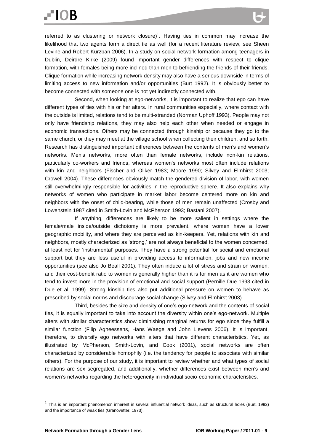# $-10B$

referred to as clustering or network closure)<sup>1</sup>. Having ties in common may increase the likelihood that two agents form a direct tie as well (for a recent literature review, see Sheen Levine and Robert Kurzban 2006). In a study on social network formation among teenagers in Dublin, Deirdre Kirke (2009) found important gender differences with respect to clique formation, with females being more inclined than men to befriending the friends of their friends. Clique formation while increasing network density may also have a serious downside in terms of limiting access to new information and/or opportunities (Burt 1992). It is obviously better to become connected with someone one is not yet indirectly connected with.

Second, when looking at ego-networks, it is important to realize that ego can have different types of ties with his or her alters. In rural communities especially, where contact with the outside is limited, relations tend to be multi-stranded (Norman Uphoff 1993). People may not only have friendship relations, they may also help each other when needed or engage in economic transactions. Others may be connected through kinship or because they go to the same church, or they may meet at the village school when collecting their children, and so forth. Research has distinguished important differences between the contents of men"s and women"s networks. Men"s networks, more often than female networks, include non-kin relations, particularly co-workers and friends, whereas women"s networks most often include relations with kin and neighbors (Fischer and Oliker 1983; Moore 1990; Silvey and Elmhirst 2003; Crowell 2004). These differences obviously match the gendered division of labor, with women still overwhelmingly responsible for activities in the reproductive sphere. It also explains why networks of women who participate in market labor become centered more on kin and neighbors with the onset of child-bearing, while those of men remain unaffected (Crosby and Lowenstein 1987 cited in Smith-Lovin and McPherson 1993; Bastani 2007).

If anything, differences are likely to be more salient in settings where the female/male inside/outside dichotomy is more prevalent, where women have a lower geographic mobility, and where they are perceived as kin-keepers. Yet, relations with kin and neighbors, mostly characterized as "strong," are not always beneficial to the women concerned, at least not for "instrumental" purposes. They have a strong potential for social and emotional support but they are less useful in providing access to information, jobs and new income opportunities (see also Jo Beall 2001). They often induce a lot of stress and strain on women, and their cost-benefit ratio to women is generally higher than it is for men as it are women who tend to invest more in the provision of emotional and social support (Pernille Due 1993 cited in Due et al. 1999). Strong kinship ties also put additional pressure on women to behave as prescribed by social norms and discourage social change (Silvey and Elmhirst 2003).

Third, besides the size and density of one"s ego-network and the contents of social ties, it is equally important to take into account the diversity within one's ego-network. Multiple alters with similar characteristics show diminishing marginal returns for ego since they fulfill a similar function (Filip Agneessens, Hans Waege and John Lievens 2006). It is important, therefore, to diversify ego networks with alters that have different characteristics. Yet, as illustrated by McPherson, Smith-Lovin, and Cook (2001), social networks are often characterized by considerable homophily (i.e. the tendency for people to associate with similar others). For the purpose of our study, it is important to review whether and what types of social relations are sex segregated, and additionally, whether differences exist between men"s and women"s networks regarding the heterogeneity in individual socio-economic characteristics.

 $1$  This is an important phenomenon inherent in several influential network ideas, such as structural holes (Burt, 1992) and the importance of weak ties (Granovetter, 1973).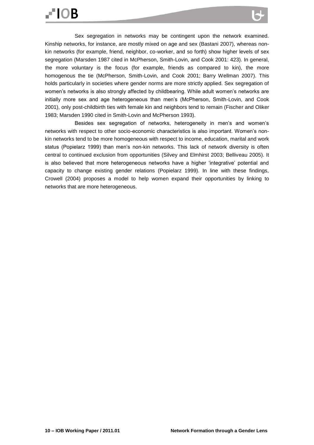# FIOB

Sex segregation in networks may be contingent upon the network examined. Kinship networks, for instance, are mostly mixed on age and sex (Bastani 2007), whereas nonkin networks (for example, friend, neighbor, co-worker, and so forth) show higher levels of sex segregation (Marsden 1987 cited in McPherson, Smith-Lovin, and Cook 2001: 423). In general, the more voluntary is the focus (for example, friends as compared to kin), the more homogenous the tie (McPherson, Smith-Lovin, and Cook 2001; Barry Wellman 2007). This holds particularly in societies where gender norms are more strictly applied. Sex segregation of women's networks is also strongly affected by childbearing. While adult women's networks are initially more sex and age heterogeneous than men"s (McPherson, Smith-Lovin, and Cook 2001), only post-childbirth ties with female kin and neighbors tend to remain (Fischer and Oliker 1983; Marsden 1990 cited in Smith-Lovin and McPherson 1993).

Besides sex segregation of networks, heterogeneity in men"s and women"s networks with respect to other socio-economic characteristics is also important. Women"s nonkin networks tend to be more homogeneous with respect to income, education, marital and work status (Popielarz 1999) than men"s non-kin networks. This lack of network diversity is often central to continued exclusion from opportunities (Silvey and Elmhirst 2003; Belliveau 2005). It is also believed that more heterogeneous networks have a higher "integrative" potential and capacity to change existing gender relations (Popielarz 1999). In line with these findings, Crowell (2004) proposes a model to help women expand their opportunities by linking to networks that are more heterogeneous.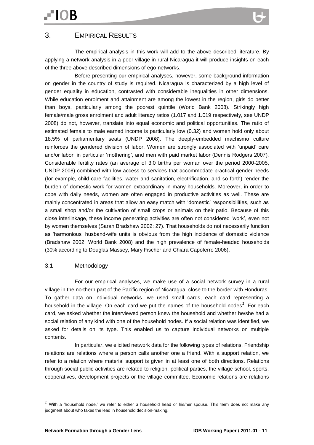<span id="page-10-0"></span>The empirical analysis in this work will add to the above described literature. By applying a network analysis in a poor village in rural Nicaragua it will produce insights on each of the three above described dimensions of ego-networks.

Before presenting our empirical analyses, however, some background information on gender in the country of study is required. Nicaragua is characterized by a high level of gender equality in education, contrasted with considerable inequalities in other dimensions. While education enrolment and attainment are among the lowest in the region, girls do better than boys, particularly among the poorest quintile (World Bank 2008). Strikingly high female/male gross enrolment and adult literacy ratios (1.017 and 1.019 respectively, see UNDP 2008) do not, however, translate into equal economic and political opportunities. The ratio of estimated female to male earned income is particularly low (0.32) and women hold only about 18.5% of parliamentary seats (UNDP 2008). The deeply-embedded machismo culture reinforces the gendered division of labor. Women are strongly associated with "unpaid" care and/or labor, in particular "mothering", and men with paid market labor (Dennis Rodgers 2007). Considerable fertility rates (an average of 3.0 births per woman over the period 2000-2005, UNDP 2008) combined with low access to services that accommodate practical gender needs (for example, child care facilities, water and sanitation, electrification, and so forth) render the burden of domestic work for women extraordinary in many households. Moreover, in order to cope with daily needs, women are often engaged in productive activities as well. These are mainly concentrated in areas that allow an easy match with "domestic" responsibilities, such as a small shop and/or the cultivation of small crops or animals on their patio. Because of this close interlinkage, these income generating activities are often not considered "work", even not by women themselves (Sarah Bradshaw 2002: 27). That households do not necessarily function as "harmonious" husband-wife units is obvious from the high incidence of domestic violence (Bradshaw 2002; World Bank 2008) and the high prevalence of female-headed households (30% according to Douglas Massey, Mary Fischer and Chiara Capoferro 2006).

#### <span id="page-10-1"></span>3.1 Methodology

 $\overline{a}$ 

For our empirical analyses, we make use of a social network survey in a rural village in the northern part of the Pacific region of Nicaragua, close to the border with Honduras. To gather data on individual networks, we used small cards, each card representing a household in the village. On each card we put the names of the household nodes<sup>2</sup>. For each card, we asked whether the interviewed person knew the household and whether he/she had a social relation of any kind with one of the household nodes. If a social relation was identified, we asked for details on its type. This enabled us to capture individual networks on multiple contents.

In particular, we elicited network data for the following types of relations. Friendship relations are relations where a person calls another one a friend. With a support relation, we refer to a relation where material support is given in at least one of both directions. Relations through social public activities are related to religion, political parties, the village school, sports, cooperatives, development projects or the village committee. Economic relations are relations

 $2$  With a 'household node,' we refer to either a household head or his/her spouse. This term does not make any judgment about who takes the lead in household decision-making.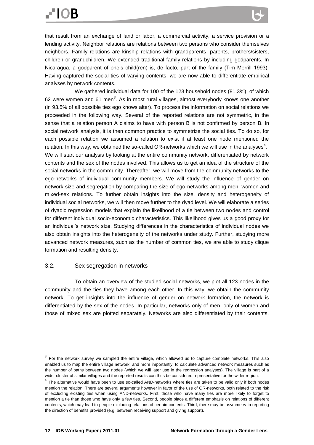# - IOB

We gathered individual data for 100 of the 123 household nodes (81.3%), of which 62 were women and 61 men<sup>3</sup>. As in most rural villages, almost everybody knows one another (in 93.5% of all possible ties ego knows alter). To process the information on social relations we proceeded in the following way. Several of the reported relations are not symmetric, in the sense that a relation person A claims to have with person B is not confirmed by person B. In social network analysis, it is then common practice to symmetrize the social ties. To do so, for each possible relation we assumed a relation to exist if at least one node mentioned the relation. In this way, we obtained the so-called OR-networks which we will use in the analyses<sup>4</sup>. We will start our analysis by looking at the entire community network, differentiated by network contents and the sex of the nodes involved. This allows us to get an idea of the structure of the social networks in the community. Thereafter, we will move from the community networks to the ego-networks of individual community members. We will study the influence of gender on network size and segregation by comparing the size of ego-networks among men, women and mixed-sex relations. To further obtain insights into the size, density and heterogeneity of individual social networks, we will then move further to the dyad level. We will elaborate a series of dyadic regression models that explain the likelihood of a tie between two nodes and control for different individual socio-economic characteristics. This likelihood gives us a good proxy for an individual"s network size. Studying differences in the characteristics of individual nodes we also obtain insights into the heterogeneity of the networks under study. Further, studying more advanced network measures, such as the number of common ties, we are able to study clique formation and resulting density.

#### <span id="page-11-0"></span>3.2. Sex segregation in networks

To obtain an overview of the studied social networks, we plot all 123 nodes in the community and the ties they have among each other. In this way, we obtain the community network. To get insights into the influence of gender on network formation, the network is differentiated by the sex of the nodes. In particular, networks only of men, only of women and those of mixed sex are plotted separately. Networks are also differentiated by their contents.

 $3$  For the network survey we sampled the entire village, which allowed us to capture complete networks. This also enabled us to map the entire village network, and more importantly, to calculate advanced network measures such as the number of paths between two nodes (which we will later use in the regression analyses). The village is part of a wider cluster of similar villages and the reported results can thus be considered representative for the wider region.

 $<sup>4</sup>$  The alternative would have been to use so-called AND-networks where ties are taken to be valid only if both nodes</sup> mention the relation. There are several arguments however in favor of the use of OR-networks, both related to the risk of excluding existing ties when using AND-networks. First, those who have many ties are more likely to forget to mention a tie than those who have only a few ties. Second, people place a different emphasis on relations of different contents, which may lead to people excluding relations of certain contents. Third, there may be asymmetry in reporting the direction of benefits provided (e.g. between receiving support and giving support).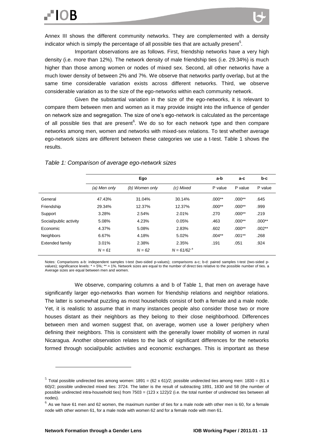Important observations are as follows. First, friendship networks have a very high density (i.e. more than 12%). The network density of male friendship ties (i.e. 29.34%) is much higher than those among women or nodes of mixed sex. Second, all other networks have a much lower density of between 2% and 7%. We observe that networks partly overlap, but at the same time considerable variation exists across different networks. Third, we observe considerable variation as to the size of the ego-networks within each community network.

Given the substantial variation in the size of the ego-networks, it is relevant to compare them between men and women as it may provide insight into the influence of gender on network size and segregation. The size of one"s ego-network is calculated as the percentage of all possible ties that are present<sup>6</sup>. We do so for each network type and then compare networks among men, women and networks with mixed-sex relations. To test whether average ego-network sizes are different between these categories we use a t-test. Table 1 shows the results.

|                        |              | Ego            |                          | a-b      | a-c      | b-c      |  |
|------------------------|--------------|----------------|--------------------------|----------|----------|----------|--|
|                        | (a) Men only | (b) Women only | (c) Mixed                | P value  | P value  | P value  |  |
| General                | 47.43%       | 31.04%         | 30.14%                   | $.000**$ | $.000**$ | .645     |  |
| Friendship             | 29.34%       | 12.37%         | 12.37%                   | $.000**$ | $.000**$ | .999     |  |
| Support                | 3.28%        | 2.54%          | 2.01%                    | .270     | $.000**$ | .219     |  |
| Social/public activity | 5.08%        | 4.23%          | 0.05%                    | .463     | $.000**$ | $.000**$ |  |
| Economic               | 4.37%        | 5.08%          | 2.83%                    | .602     | $.000**$ | $.002**$ |  |
| <b>Neighbors</b>       | 6.67%        | 4.18%          | 5.02%                    | $.004**$ | $.001**$ | .268     |  |
| Extended family        | 3.01%        | 2.38%          | 2.35%                    | .191     | .051     | .924     |  |
|                        | $N = 61$     | $N = 62$       | $N = 61/62$ <sup>a</sup> |          |          |          |  |

#### *Table 1: Comparison of average ego-network sizes*

Notes: Comparisons a-b: independent samples t-test (two-sided p-values); comparisons a-c; b-d: paired samples t-test (two-sided pvalues); significance levels: \* = 5%; \*\* = 1%. Network sizes are equal to the number of direct ties relative to the possible number of ties. a Average sizes are equal between men and women.

We observe, comparing columns a and b of Table 1, that men on average have significantly larger ego-networks than women for friendship relations and neighbor relations. The latter is somewhat puzzling as most households consist of both a female and a male node. Yet, it is realistic to assume that in many instances people also consider those two or more houses distant as their neighbors as they belong to their close neighborhood. Differences between men and women suggest that, on average, women use a lower periphery when defining their neighbors. This is consistent with the generally lower mobility of women in rural Nicaragua. Another observation relates to the lack of significant differences for the networks formed through social/public activities and economic exchanges. This is important as these

 $<sup>5</sup>$  Total possible undirected ties among women: 1891 = (62 x 61)/2; possible undirected ties among men: 1830 = (61 x</sup> 60)/2; possible undirected mixed ties: 3724. The latter is the result of subtracting 1891, 1830 and 58 (the number of possible undirected intra-household ties) from 7503 = (123 x 122)/2 (i.e. the total number of undirected ties between all nodes).

 $^6$  As we have 61 men and 62 women, the maximum number of ties for a male node with other men is 60, for a female node with other women 61, for a male node with women 62 and for a female node with men 61.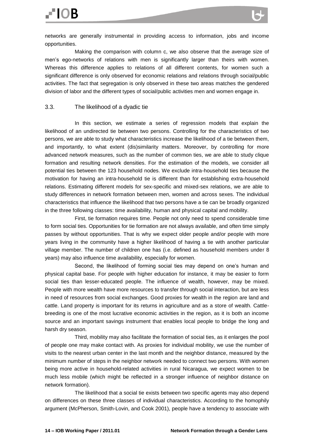networks are generally instrumental in providing access to information, jobs and income opportunities.

Making the comparison with column c, we also observe that the average size of men"s ego-networks of relations with men is significantly larger than theirs with women. Whereas this difference applies to relations of all different contents, for women such a significant difference is only observed for economic relations and relations through social/public activities. The fact that segregation is only observed in these two areas matches the gendered division of labor and the different types of social/public activities men and women engage in.

#### <span id="page-13-0"></span>3.3. The likelihood of a dyadic tie

In this section, we estimate a series of regression models that explain the likelihood of an undirected tie between two persons. Controlling for the characteristics of two persons, we are able to study what characteristics increase the likelihood of a tie between them, and importantly, to what extent (dis)similarity matters. Moreover, by controlling for more advanced network measures, such as the number of common ties, we are able to study clique formation and resulting network densities. For the estimation of the models, we consider all potential ties between the 123 household nodes. We exclude intra-household ties because the motivation for having an intra-household tie is different than for establishing extra-household relations. Estimating different models for sex-specific and mixed-sex relations, we are able to study differences in network formation between men, women and across sexes. The individual characteristics that influence the likelihood that two persons have a tie can be broadly organized in the three following classes: time availability, human and physical capital and mobility.

First, tie formation requires time. People not only need to spend considerable time to form social ties. Opportunities for tie formation are not always available, and often time simply passes by without opportunities. That is why we expect older people and/or people with more years living in the community have a higher likelihood of having a tie with another particular village member. The number of children one has (i.e. defined as household members under 8 years) may also influence time availability, especially for women.

Second, the likelihood of forming social ties may depend on one's human and physical capital base. For people with higher education for instance, it may be easier to form social ties than lesser-educated people. The influence of wealth, however, may be mixed. People with more wealth have more resources to transfer through social interaction, but are less in need of resources from social exchanges. Good proxies for wealth in the region are land and cattle. Land property is important for its returns in agriculture and as a store of wealth. Cattlebreeding is one of the most lucrative economic activities in the region, as it is both an income source and an important savings instrument that enables local people to bridge the long and harsh dry season.

Third, mobility may also facilitate the formation of social ties, as it enlarges the pool of people one may make contact with. As proxies for individual mobility, we use the number of visits to the nearest urban center in the last month and the neighbor distance, measured by the minimum number of steps in the neighbor network needed to connect two persons. With women being more active in household-related activities in rural Nicaragua, we expect women to be much less mobile (which might be reflected in a stronger influence of neighbor distance on network formation).

The likelihood that a social tie exists between two specific agents may also depend on differences on these three classes of individual characteristics. According to the homophily argument (McPherson, Smith-Lovin, and Cook 2001), people have a tendency to associate with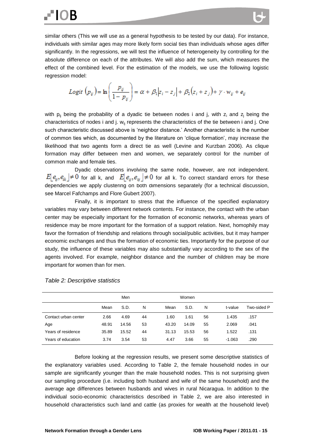.- IOB

similar others (This we will use as a general hypothesis to be tested by our data). For instance, individuals with similar ages may more likely form social ties than individuals whose ages differ significantly. In the regressions, we will test the influence of heterogeneity by controlling for the absolute difference on each of the attributes. We will also add the sum, which measures the effect of the combined level. For the estimation of the models, we use the following logistic regression model:

$$
Logit(p_{ij}) = \ln\left(\frac{p_{ij}}{1-p_{ij}}\right) = \alpha + \beta_1 |z_i - z_j| + \beta_2 (z_i + z_j) + \gamma \cdot w_{ij} + e_{ij}
$$

with  $p_{ii}$  being the probability of a dyadic tie between nodes i and j, with  $z_i$  and  $z_i$  being the characteristics of nodes i and j.  $w_{ij}$  represents the characteristics of the tie between i and j. One such characteristic discussed above is "neighbor distance." Another characteristic is the number of common ties which, as documented by the literature on "clique formation", may increase the likelihood that two agents form a direct tie as well (Levine and Kurzban 2006). As clique formation may differ between men and women, we separately control for the number of common male and female ties.

Dyadic observations involving the same node, however, are not independent.  $E[e_{ij}, e_{ik}] \neq 0$  for all k, and  $E[e_{ij}, e_{ki}] \neq 0$  for all k. To correct standard errors for these dependencies we apply clustering on both dimensions separately (for a technical discussion, see Marcel Fafchamps and Flore Gubert 2007).

Finally, it is important to stress that the influence of the specified explanatory variables may vary between different network contents. For instance, the contact with the urban center may be especially important for the formation of economic networks, whereas years of residence may be more important for the formation of a support relation. Next, homophily may favor the formation of friendship and relations through social/public activities, but it may hamper economic exchanges and thus the formation of economic ties. Importantly for the purpose of our study, the influence of these variables may also substantially vary according to the sex of the agents involved. For example, neighbor distance and the number of children may be more important for women than for men.

| Two-sided P |
|-------------|
|             |
|             |
|             |
|             |
|             |

#### *Table 2: Descriptive statistics*

Before looking at the regression results, we present some descriptive statistics of the explanatory variables used. According to Table 2, the female household nodes in our sample are significantly younger than the male household nodes. This is not surprising given our sampling procedure (i.e. including both husband and wife of the same household) and the average age differences between husbands and wives in rural Nicaragua. In addition to the individual socio-economic characteristics described in Table 2, we are also interested in household characteristics such land and cattle (as proxies for wealth at the household level)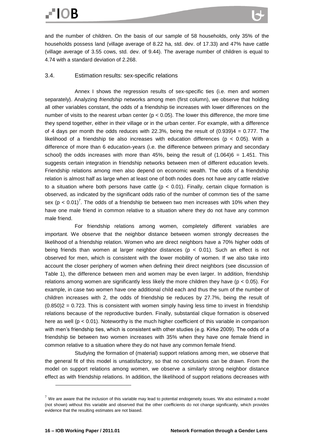and the number of children. On the basis of our sample of 58 households, only 35% of the households possess land (village average of 8.22 ha, std. dev. of 17.33) and 47% have cattle (village average of 3.55 cows, std. dev. of 9.44). The average number of children is equal to 4.74 with a standard deviation of 2.268.

#### <span id="page-15-0"></span>3.4. Estimation results: sex-specific relations

Annex I shows the regression results of sex-specific ties (i.e. men and women separately). Analyzing *friendship* networks among men (first column), we observe that holding all other variables constant, the odds of a friendship tie increases with lower differences on the number of visits to the nearest urban center ( $p < 0.05$ ). The lower this difference, the more time they spend together, either in their village or in the urban center. For example, with a difference of 4 days per month the odds reduces with 22.3%, being the result of  $(0.939)4 = 0.777$ . The likelihood of a friendship tie also increases with education differences ( $p < 0.05$ ). With a difference of more than 6 education-years (i.e. the difference between primary and secondary school) the odds increases with more than 45%, being the result of  $(1.064)6 = 1.451$ . This suggests certain integration in friendship networks between men of different education levels. Friendship relations among men also depend on economic wealth. The odds of a friendship relation is almost half as large when at least one of both nodes does not have any cattle relative to a situation where both persons have cattle  $(p < 0.01)$ . Finally, certain clique formation is observed, as indicated by the significant odds ratio of the number of common ties of the same sex (p < 0.01)<sup>7</sup>. The odds of a friendship tie between two men increases with 10% when they have one male friend in common relative to a situation where they do not have any common male friend.

For friendship relations among women, completely different variables are important. We observe that the neighbor distance between women strongly decreases the likelihood of a friendship relation. Women who are direct neighbors have a 70% higher odds of being friends than women at larger neighbor distances ( $p < 0.01$ ). Such an effect is not observed for men, which is consistent with the lower mobility of women. If we also take into account the closer periphery of women when defining their direct neighbors (see discussion of Table 1), the difference between men and women may be even larger. In addition, friendship relations among women are significantly less likely the more children they have ( $p < 0.05$ ). For example, in case two women have one additional child each and thus the sum of the number of children increases with 2, the odds of friendship tie reduces by 27.7%, being the result of  $(0.850)2 = 0.723$ . This is consistent with women simply having less time to invest in friendship relations because of the reproductive burden. Finally, substantial clique formation is observed here as well ( $p < 0.01$ ). Noteworthy is the much higher coefficient of this variable in comparison with men"s friendship ties, which is consistent with other studies (e.g. Kirke 2009). The odds of a friendship tie between two women increases with 35% when they have one female friend in common relative to a situation where they do not have any common female friend.

Studying the formation of (material) support relations among men, we observe that the general fit of this model is unsatisfactory, so that no conclusions can be drawn. From the model on support relations among women, we observe a similarly strong neighbor distance effect as with friendship relations. In addition, the likelihood of support relations decreases with

 $7$  We are aware that the inclusion of this variable may lead to potential endogeneity issues. We also estimated a model (not shown) without this variable and observed that the other coefficients do not change significantly, which provides evidence that the resulting estimates are not biased.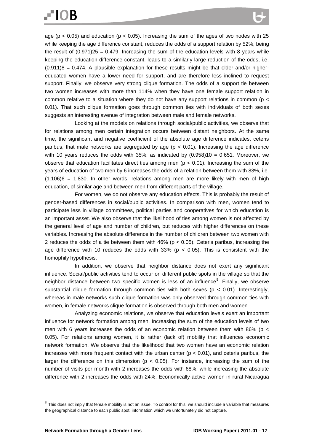age ( $p < 0.05$ ) and education ( $p < 0.05$ ). Increasing the sum of the ages of two nodes with 25 while keeping the age difference constant, reduces the odds of a support relation by 52%, being the result of  $(0.971)25 = 0.479$ . Increasing the sum of the education levels with 8 years while keeping the education difference constant, leads to a similarly large reduction of the odds, i.e.  $(0.911)8 = 0.474$ . A plausible explanation for these results might be that older and/or highereducated women have a lower need for support, and are therefore less inclined to request support. Finally, we observe very strong clique formation. The odds of a support tie between two women increases with more than 114% when they have one female support relation in common relative to a situation where they do not have any support relations in common ( $p \lt$ 0.01). That such clique formation goes through common ties with individuals of both sexes suggests an interesting avenue of integration between male and female networks.

Looking at the models on relations through social/public activities, we observe that for relations among men certain integration occurs between distant neighbors. At the same time, the significant and negative coefficient of the absolute age difference indicates, ceteris paribus, that male networks are segregated by age ( $p < 0.01$ ). Increasing the age difference with 10 years reduces the odds with 35%, as indicated by  $(0.958)10 = 0.651$ . Moreover, we observe that education facilitates direct ties among men ( $p < 0.01$ ). Increasing the sum of the years of education of two men by 6 increases the odds of a relation between them with 83%, i.e.  $(1.106)6 = 1.830$ . In other words, relations among men are more likely with men of high education, of similar age and between men from different parts of the village.

For women, we do not observe any education effects. This is probably the result of gender-based differences in social/public activities. In comparison with men, women tend to participate less in village committees, political parties and cooperatives for which education is an important asset. We also observe that the likelihood of ties among women is not affected by the general level of age and number of children, but reduces with higher differences on these variables. Increasing the absolute difference in the number of children between two women with 2 reduces the odds of a tie between them with  $46\%$  ( $p < 0.05$ ). Ceteris paribus, increasing the age difference with 10 reduces the odds with  $33\%$  (p < 0.05). This is consistent with the homophily hypothesis.

In addition, we observe that neighbor distance does not exert any significant influence. Social/public activities tend to occur on different public spots in the village so that the neighbor distance between two specific women is less of an influence<sup>8</sup>. Finally, we observe substantial clique formation through common ties with both sexes ( $p < 0.01$ ). Interestingly, whereas in male networks such clique formation was only observed through common ties with women, in female networks clique formation is observed through both men and women.

Analyzing economic relations, we observe that education levels exert an important influence for network formation among men. Increasing the sum of the education levels of two men with 6 years increases the odds of an economic relation between them with 86% (p < 0.05). For relations among women, it is rather (lack of) mobility that influences economic network formation. We observe that the likelihood that two women have an economic relation increases with more frequent contact with the urban center ( $p < 0.01$ ), and ceteris paribus, the larger the difference on this dimension ( $p < 0.05$ ). For instance, increasing the sum of the number of visits per month with 2 increases the odds with 68%, while increasing the absolute difference with 2 increases the odds with 24%. Economically-active women in rural Nicaragua

 $^8$  This does not imply that female mobility is not an issue. To control for this, we should include a variable that measures the geographical distance to each public spot, information which we unfortunately did not capture.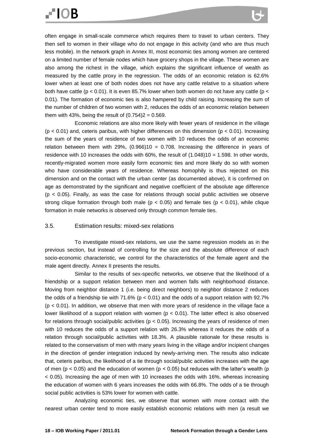often engage in small-scale commerce which requires them to travel to urban centers. They then sell to women in their village who do not engage in this activity (and who are thus much less mobile). In the network graph in Annex III, most economic ties among women are centered on a limited number of female nodes which have grocery shops in the village. These women are also among the richest in the village, which explains the significant influence of wealth as measured by the cattle proxy in the regression. The odds of an economic relation is 62.6% lower when at least one of both nodes does not have any cattle relative to a situation where both have cattle ( $p < 0.01$ ). It is even 85.7% lower when both women do not have any cattle ( $p <$ 0.01). The formation of economic ties is also hampered by child raising. Increasing the sum of the number of children of two women with 2, reduces the odds of an economic relation between them with 43%, being the result of  $(0.754)2 = 0.569$ .

Economic relations are also more likely with fewer years of residence in the village  $(p < 0.01)$  and, ceteris paribus, with higher differences on this dimension  $(p < 0.01)$ . Increasing the sum of the years of residence of two women with 10 reduces the odds of an economic relation between them with 29%,  $(0.966)10 = 0.708$ . Increasing the difference in years of residence with 10 increases the odds with 60%, the result of (1.048)10 = 1.598. In other words, recently-migrated women more easily form economic ties and more likely do so with women who have considerable years of residence. Whereas homophily is thus rejected on this dimension and on the contact with the urban center (as documented above), it is confirmed on age as demonstrated by the significant and negative coefficient of the absolute age difference  $(p < 0.05)$ . Finally, as was the case for relations through social public activities we observe strong clique formation through both male ( $p < 0.05$ ) and female ties ( $p < 0.01$ ), while clique formation in male networks is observed only through common female ties.

#### <span id="page-17-0"></span>3.5. Estimation results: mixed-sex relations

To investigate mixed-sex relations, we use the same regression models as in the previous section, but instead of controlling for the size and the absolute difference of each socio-economic characteristic, we control for the characteristics of the female agent and the male agent directly. Annex II presents the results.

Similar to the results of sex-specific networks, we observe that the likelihood of a friendship or a support relation between men and women falls with neighborhood distance. Moving from neighbor distance 1 (i.e. being direct neighbors) to neighbor distance 2 reduces the odds of a friendship tie with 71.6% ( $p < 0.01$ ) and the odds of a support relation with 92.7%  $(p < 0.01)$ . In addition, we observe that men with more years of residence in the village face a lower likelihood of a support relation with women ( $p < 0.01$ ). The latter effect is also observed for relations through social/public activities ( $p < 0.05$ ). Increasing the years of residence of men with 10 reduces the odds of a support relation with 26.3% whereas it reduces the odds of a relation through social/public activities with 18.3%. A plausible rationale for these results is related to the conservatism of men with many years living in the village and/or incipient changes in the direction of gender integration induced by newly-arriving men. The results also indicate that, ceteris paribus, the likelihood of a tie through social/public activities increases with the age of men ( $p < 0.05$ ) and the education of women ( $p < 0.05$ ) but reduces with the latter's wealth ( $p$ ) < 0.05). Increasing the age of men with 10 increases the odds with 16%, whereas increasing the education of women with 6 years increases the odds with 66.8%. The odds of a tie through social public activities is 53% lower for women with cattle.

Analyzing economic ties, we observe that women with more contact with the nearest urban center tend to more easily establish economic relations with men (a result we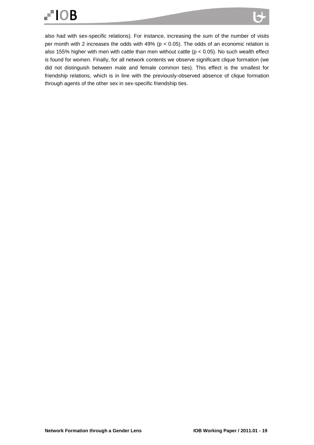# $-10B$

also had with sex-specific relations). For instance, increasing the sum of the number of visits per month with 2 increases the odds with 49% ( $p < 0.05$ ). The odds of an economic relation is also 155% higher with men with cattle than men without cattle ( $p < 0.05$ ). No such wealth effect is found for women. Finally, for all network contents we observe significant clique formation (we did not distinguish between male and female common ties). This effect is the smallest for friendship relations, which is in line with the previously-observed absence of clique formation through agents of the other sex in sex-specific friendship ties.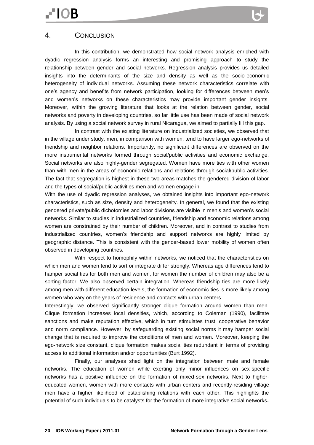

### <span id="page-19-0"></span>4. CONCLUSION

In this contribution, we demonstrated how social network analysis enriched with dyadic regression analysis forms an interesting and promising approach to study the relationship between gender and social networks. Regression analysis provides us detailed insights into the determinants of the size and density as well as the socio-economic heterogeneity of individual networks. Assuming these network characteristics correlate with one"s agency and benefits from network participation, looking for differences between men"s and women"s networks on these characteristics may provide important gender insights. Moreover, within the growing literature that looks at the relation between gender, social networks and poverty in developing countries, so far little use has been made of social network analysis. By using a social network survey in rural Nicaragua, we aimed to partially fill this gap.

In contrast with the existing literature on industrialized societies, we observed that in the village under study, men, in comparison with women, tend to have larger ego-networks of friendship and neighbor relations. Importantly, no significant differences are observed on the more instrumental networks formed through social/public activities and economic exchange. Social networks are also highly-gender segregated. Women have more ties with other women than with men in the areas of economic relations and relations through social/public activities. The fact that segregation is highest in these two areas matches the gendered division of labor and the types of social/public activities men and women engage in.

With the use of dyadic regression analyses, we obtained insights into important ego-network characteristics, such as size, density and heterogeneity. In general, we found that the existing gendered private/public dichotomies and labor divisions are visible in men"s and women"s social networks. Similar to studies in industrialized countries, friendship and economic relations among women are constrained by their number of children. Moreover, and in contrast to studies from industrialized countries, women"s friendship and support networks are highly limited by geographic distance. This is consistent with the gender-based lower mobility of women often observed in developing countries.

With respect to homophily within networks, we noticed that the characteristics on which men and women tend to sort or integrate differ strongly. Whereas age differences tend to hamper social ties for both men and women, for women the number of children may also be a sorting factor. We also observed certain integration. Whereas friendship ties are more likely among men with different education levels, the formation of economic ties is more likely among women who vary on the years of residence and contacts with urban centers.

Interestingly, we observed significantly stronger clique formation around women than men. Clique formation increases local densities, which, according to Coleman (1990), facilitate sanctions and make reputation effective, which in turn stimulates trust, cooperative behavior and norm compliance. However, by safeguarding existing social norms it may hamper social change that is required to improve the conditions of men and women. Moreover, keeping the ego-network size constant, clique formation makes social ties redundant in terms of providing access to additional information and/or opportunities (Burt 1992).

Finally, our analyses shed light on the integration between male and female networks. The education of women while exerting only minor influences on sex-specific networks has a positive influence on the formation of mixed-sex networks. Next to highereducated women, women with more contacts with urban centers and recently-residing village men have a higher likelihood of establishing relations with each other. This highlights the potential of such individuals to be catalysts for the formation of more integrative social networks**.**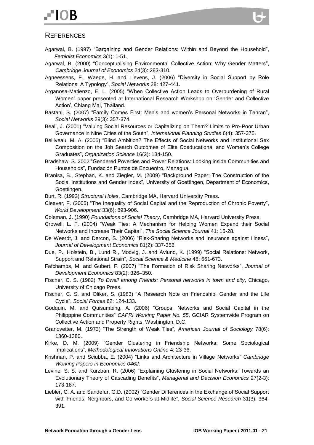# $-10B$

<span id="page-20-0"></span>

- Agarwal, B. (1997) "Bargaining and Gender Relations: Within and Beyond the Household", *Feminist Economics* 3(1): 1-51.
- Agarwal, B. (2000) "Conceptualising Environmental Collective Action: Why Gender Matters", *Cambridge Journal of Economics* 24(3): 283-310.
- Agneessens, F., Waege, H. and Lievens, J. (2006) "Diversity in Social Support by Role Relations: A Typology", *Social Networks* 28: 427-441.
- Arganosa-Matienzo, E. L. (2005) "When Collective Action Leads to Overburdening of Rural Women" paper presented at International Research Workshop on "Gender and Collective Action", Chiang Mai, Thailand.
- Bastani, S. (2007) "Family Comes First: Men's and women's Personal Networks in Tehran", *Social Networks* 29(3): 357-374.
- Beall, J. (2001) "Valuing Social Resources or Capitalizing on Them? Limits to Pro-Poor Urban Governance in Nine Cities of the South", *International Planning Studies* 6(4): 357-375.
- Belliveau, M. A. (2005) "Blind Ambition? The Effects of Social Networks and Institutional Sex Composition on the Job Search Outcomes of Elite Coeducational and Women"s College Graduates", *Organization Science* 16(2): 134-150.
- Bradshaw, S. 2002 "Gendered Poverties and Power Relations: Looking inside Communities and Households", Fundación Puntos de Encuentro, Managua.
- Branisa, B., Stephan, K. and Ziegler, M. (2009) "Background Paper: The Construction of the Social Institutions and Gender Index", University of Goettingen, Department of Economics, Goettingen.
- Burt, R. (1992) *Structural Holes*, Cambridge MA, Harvard University Press.
- Cleaver, F. (2005) "The Inequality of Social Capital and the Reproduction of Chronic Poverty", *World Development* 33(6): 893-906.
- Coleman, J. (1990) *Foundations of Social Theory,* Cambridge MA, Harvard University Press.
- Crowell, L. F. (2004) "Weak Ties: A Mechanism for Helping Women Expand their Social Networks and Increase Their Capital", *The Social Science Journal* 41: 15-28.
- De Weerdt, J. and Dercon, S. (2006) "Risk-Sharing Networks and Insurance against Illness", *Journal of Development Economics* 81(2): 337-356.
- Due, P., Holstein, B., Lund R., Modvig, J. and Avlund, K. (1999) "Social Relations: Network, Support and Relational Strain", *Social Science & Medicine* 48: 661-673.
- Fafchamps, M. and Gubert, F. (2007) "The Formation of Risk Sharing Networks", *Journal of Development Economics* 83(2): 326–350.
- Fischer, C. S. (1982) *To Dwell among Friends: Personal networks in town and city*, Chicago, University of Chicago Press.
- Fischer, C. S. and Oliker, S. (1983) "A Research Note on Friendship, Gender and the Life Cycle", *Social Forces* 62: 124-133.
- Godquin, M. and Quisumbing, A. (2006) "Groups, Networks and Social Capital in the Philipppine Communities" *CAPRi Working Paper No. 55*, GCIAR Systemwide Program on Collective Action and Property Rights, Washington, D.C.
- Granovetter, M. (1973) "The Strength of Weak Ties", *American Journal of Sociology* 78(6): 1360-1380.
- Kirke, D. M. (2009) "Gender Clustering in Friendship Networks: Some Sociological Implications", *Methodological Innovations Online* 4: 23-36.
- Krishnan, P. and Sciubba, E. (2004) "Links and Architecture in Village Networks" *Cambridge Working Papers in Economics 0462.*
- Levine, S. S. and Kurzban, R. (2006) "Explaining Clustering in Social Networks: Towards an Evolutionary Theory of Cascading Benefits", *Managerial and Decision Economics* 27(2-3): 173-187.
- Liebler, C. A. and Sandefur, G.D. (2002) "Gender Differences in the Exchange of Social Support with Friends, Neighbors, and Co-workers at Midlife", *Social Science Research* 31(3): 364- 391.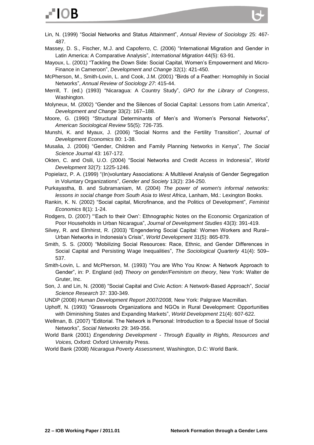## **FIOB**

- Lin, N. (1999) "Social Networks and Status Attainment", *Annual Review of Sociology* 25: 467- 487.
- Massey, D. S., Fischer, M.J. and Capoferro, C. (2006) "International Migration and Gender in Latin America: A Comparative Analysis", *International Migration* 44(5): 63-91.
- Mayoux, L. (2001) "Tackling the Down Side: Social Capital, Women"s Empowerment and Micro-Finance in Cameroon", *Development and Change* 32(1): 421-450.
- McPherson, M., Smith-Lovin, L. and Cook, J.M. (2001) "Birds of a Feather: Homophily in Social Networks", *Annual Review of Sociology 27*: 415-44.
- Merrill, T. (ed.) (1993) "Nicaragua: A Country Study", *GPO for the Library of Congress*, Washington.
- Molyneux, M. (2002) "Gender and the Silences of Social Capital: Lessons from Latin America", *Development and Change* 33(2): 167–188.
- Moore, G. (1990) "Structural Determinants of Men"s and Women"s Personal Networks", *American Sociological Review* 55(5): 726-735.
- Munshi, K. and Myaux, J. (2006) "Social Norms and the Fertility Transition", *Journal of Development Economics* 80: 1-38.
- Musalia, J. (2006) "Gender, Children and Family Planning Networks in Kenya", *The Social Science Journal* 43: 167-172.
- Okten, C. and Osili, U.O. (2004) "Social Networks and Credit Access in Indonesia", *World Development* 32(7): 1225-1246.
- Popielarz, P. A. (1999) "(In)voluntary Associations: A Multilevel Analysis of Gender Segregation in Voluntary Organizations", *Gender and Society* 13(2): 234-250.
- Purkayastha, B. and Subramaniam, M. (2004) *The power of women's informal networks: lessons in social change from South Asia to West Africa*, Lanham, Md.: Lexington Books.
- Rankin, K. N. (2002) "Social capital, Microfinance, and the Politics of Development", *Feminist Economics* 8(1): 1-24.
- Rodgers, D. (2007) ""Each to their Own": Ethnographic Notes on the Economic Organization of Poor Households in Urban Nicaragua", *Journal of Development Studies* 43(3): 391-419.
- Silvey, R. and Elmhirst, R. (2003) "Engendering Social Capital: Women Workers and Rural– Urban Networks in Indonesia"s Crisis", *World Development* 31(5): 865-879.
- Smith, S. S. (2000) "Mobilizing Social Resources: Race, Ethnic, and Gender Differences in Social Capital and Persisting Wage Inequalities", *The Sociological Quarterly* 41(4): 509– 537.
- Smith-Lovin, L. and McPherson, M. (1993) "You are Who You Know: A Network Approach to Gender", in: P. England (ed) *Theory on gender/Feminism on theory*, New York: Walter de Gruter, Inc.
- Son, J. and Lin, N. (2008) "Social Capital and Civic Action: A Network-Based Approach", *Social Science Research* 37: 330-349.
- UNDP (2008) *Human Development Report 2007/2008,* New York: Palgrave Macmillan.
- Uphoff, N. (1993) "Grassroots Organizations and NGOs in Rural Development: Opportunities with Diminishing States and Expanding Markets", *World Development* 21(4): 607-622.
- Wellman, B. (2007) "Editorial. The Network is Personal: Introduction to a Special Issue of Social Networks", *Social Networks* 29: 349-356.
- World Bank (2001) *Engendering Development - Through Equality in Rights, Resources and Voices,* Oxford: Oxford University Press.
- World Bank (2008) *Nicaragua Poverty Assessment*, Washington, D.C: World Bank.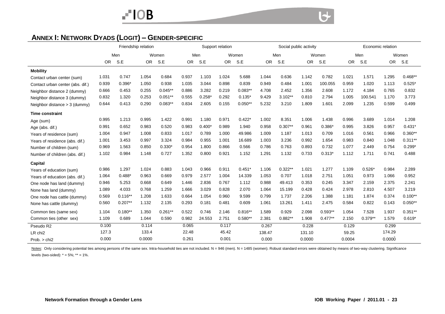## $-10B$

### **ANNEX I: NETWORK DYADS (LOGIT) – GENDER-SPECIFIC**

|                                  | Friendship relation |           |        | Support relation |           |          | Social public activity |           |           |           | Economic relation |           |        |           |        |           |
|----------------------------------|---------------------|-----------|--------|------------------|-----------|----------|------------------------|-----------|-----------|-----------|-------------------|-----------|--------|-----------|--------|-----------|
|                                  | Men                 |           | Women  |                  | Men       |          | Women                  |           | Men       |           | Women             |           | Men    |           | Women  |           |
|                                  | <b>OR</b>           | S.E       | OR.    | S.E              | <b>OR</b> | S.E      | OR.                    | S.E       | <b>OR</b> | S.E       | OR <sub>1</sub>   | S.E       | OR.    | S.E       |        | OR S.E    |
| <b>Mobility</b>                  |                     |           |        |                  |           |          |                        |           |           |           |                   |           |        |           |        |           |
| Contact urban center (sum)       | 1.031               | 0.747     | 1.054  | 0.684            | 0.937     | 1.103    | 1.024                  | 5.688     | 1.044     | 0.636     | 1.142             | 0.782     | 1.021  | 1.571     | 1.295  | $0.468**$ |
| Contact urban center (abs. dif.) | 0.939               | $0.396*$  | 1.050  | 0.938            | 1.035     | 3.044    | 0.898                  | 0.839     | 0.949     | 0.484     | 1.001             | 100.055   | 0.959  | 1.020     | 1.113  | $0.525*$  |
| Neighbor distance 2 (dummy)      | 0.666               | 0.453     | 0.255  | $0.045**$        | 0.886     | 3.282    | 0.219                  | $0.083**$ | 4.708     | 2.452     | 1.356             | 2.608     | 1.172  | 4.184     | 0.765  | 0.832     |
| Neighbor distance 3 (dummy)      | 0.832               | 1.320     | 0.253  | $0.051**$        | 0.555     | $0.258*$ | 0.292                  | $0.135*$  | 9.429     | $3.102**$ | 0.810             | 2.794     | 1.005  | 100.541   | 1.170  | 3.773     |
| Neighbor distance > 3 (dummy)    | 0.644               | 0.413     | 0.290  | $0.083**$        | 0.834     | 2.605    | 0.155                  | $0.050**$ | 5.232     | 3.210     | 1.809             | 1.601     | 2.099  | 1.235     | 0.599  | 0.499     |
| <b>Time constraint</b>           |                     |           |        |                  |           |          |                        |           |           |           |                   |           |        |           |        |           |
| Age (sum)                        | 0.995               | 1.213     | 0.995  | 1.422            | 0.991     | 1.180    | 0.971                  | $0.422*$  | 1.002     | 8.351     | 1.006             | 1.438     | 0.996  | 3.689     | 1.014  | 1.208     |
| Age (abs. dif.)                  | 0.991               | 0.652     | 0.983  | 0.520            | 0.983     | $0.400*$ | 0.989                  | 1.940     | 0.958     | $0.307**$ | 0.961             | $0.386*$  | 0.995  | 3.826     | 0.957  | $0.431*$  |
| Years of residence (sum)         | 1.004               | 0.947     | 1.008  | 0.833            | 1.017     | 0.789    | 1.000                  | 49.986    | 1.009     | 1.187     | 1.013             | 0.709     | 1.016  | 0.561     | 0.966  | $0.360**$ |
| Years of residence (abs. dif.)   | 1.001               | 3.453     | 0.997  | 3.324            | 0.984     | 0.955    | 1.001                  | 16.689    | 1.003     | 3.236     | 0.992             | 1.654     | 0.983  | 0.840     | 1.048  | $0.311**$ |
| Number of children (sum)         | 0.969               | 1.563     | 0.850  | $0.330*$         | 0.954     | 1.800    | 0.866                  | 0.566     | 0.786     | 0.763     | 0.893             | 0.732     | 1.077  | 2.449     | 0.754  | $0.299*$  |
| Number of children (abs. dif.)   | 1.102               | 0.984     | 1.148  | 0.727            | 1.352     | 0.800    | 0.921                  | 1.152     | 1.291     | 1.132     | 0.733             | $0.313*$  | 1.112  | 1.711     | 0.741  | 0.488     |
| Capital                          |                     |           |        |                  |           |          |                        |           |           |           |                   |           |        |           |        |           |
| Years of education (sum)         | 0.986               | 1.297     | 1.024  | 0.883            | 1.043     | 0.966    | 0.911                  | $0.451*$  | 1.106     | $0.322**$ | 1.021             | 1.277     | 1.109  | $0.526*$  | 0.984  | 2.289     |
| Years of education (abs. dif.)   | 1.064               | $0.488*$  | 0.963  | 0.669            | 0.979     | 2.577    | 1.004                  | 14.339    | 1.053     | 0.707     | 1.018             | 2.751     | 1.051  | 0.973     | 1.066  | 0.952     |
| One node has land (dummy)        | 0.946               | 5.253     | 0.668  | 0.649            | 1.446     | 2.836    | 0.767                  | 1.112     | 0.988     | 49.413    | 0.353             | 0.245     | 3.347  | 2.159     | 2.375  | 2.241     |
| None has land (dummy)            | 1.089               | 4.033     | 0.768  | 1.259            | 1.666     | 3.029    | 0.828                  | 2.070     | 1.064     | 15.199    | 0.428             | 0.424     | 2.978  | 2.810     | 4.507  | 3.219     |
| One node has cattle (dummy)      | 0.569               | $0.116**$ | 1.208  | 1.633            | 0.664     | 1.054    | 0.960                  | 9.599     | 0.799     | 1.737     | 2.206             | 1.388     | 1.181  | 1.874     | 0.374  | $0.100**$ |
| None has cattle (dummy)          | 0.560               | $0.207**$ | 1.132  | 2.135            | 0.293     | 0.181    | 0.481                  | 0.609     | 1.061     | 13.261    | 1.411             | 2.475     | 0.584  | 0.822     | 0.143  | $0.050**$ |
| Common ties (same sex)           | 1.104               | $0.180**$ | 1.350  | $0.261**$        | 0.522     | 0.746    | 2.146                  | $0.816**$ | 1.589     | 0.929     | 2.098             | $0.593**$ | 1.054  | 7.528     | 1.937  | $0.351**$ |
| Common ties (other sex)          | 1.109               | 0.689     | 1.044  | 0.590            | 0.982     | 24.553   | 2.751                  | $0.580**$ | 2.381     | $0.882**$ | 1.908             | $0.477**$ | 2.150  | $0.379**$ | 1.579  | $0.619*$  |
| Pseudo R2                        | 0.100               |           | 0.114  |                  | 0.065     |          | 0.117                  |           | 0.267     |           | 0.228             |           | 0.129  |           | 0.299  |           |
| LR chi2                          | 127.3               |           | 133.4  |                  | 22.48     |          | 45.42                  |           | 138.47    |           | 131.10            |           | 59.25  |           | 174.29 |           |
| Prob. > chi2                     | 0.000               |           | 0.0000 |                  | 0.261     |          | 0.001                  |           | 0.000     |           | 0.0000            |           | 0.0004 |           | 0.0000 |           |

<span id="page-22-0"></span>Notes: Only considering potential ties among persons of the same sex. Intra-household ties are not included. N = 946 (men). N = 1485 (women). Robust standard errors were obtained by means of two-way clustering. Significanc levels (two-sided):  $* = 5\%; ** = 1\%$ .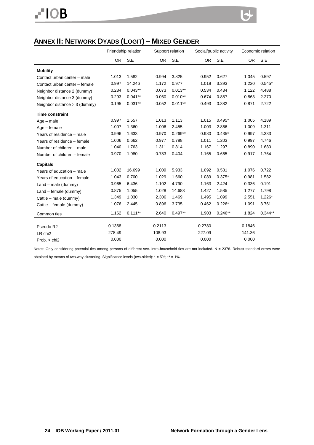

### <span id="page-23-0"></span>**ANNEX II: NETWORK DYADS (LOGIT) – MIXED GENDER**

|                               | Friendship relation |           | Support relation |           | Social/public activity |           | Economic relation |           |  |
|-------------------------------|---------------------|-----------|------------------|-----------|------------------------|-----------|-------------------|-----------|--|
|                               | <b>OR</b>           | S.E       | <b>OR</b>        | S.E       | OR.                    | S.E       | <b>OR</b>         | S.E       |  |
| <b>Mobility</b>               |                     |           |                  |           |                        |           |                   |           |  |
| Contact urban center - male   | 1.013               | 1.582     | 0.994            | 3.825     | 0.952                  | 0.627     | 1.045             | 0.597     |  |
| Contact urban center - female | 0.997               | 14.246    | 1.172            | 0.977     | 1.018                  | 3.393     | 1.220             | $0.545*$  |  |
| Neighbor distance 2 (dummy)   | 0.284               | $0.043**$ | 0.073            | $0.013**$ | 0.534                  | 0.434     | 1.122             | 4.488     |  |
| Neighbor distance 3 (dummy)   | 0.293               | $0.041**$ | 0.060            | $0.010**$ | 0.674                  | 0.887     | 0.863             | 2.270     |  |
| Neighbor distance > 3 (dummy) | 0.195               | $0.031**$ | 0.052            | $0.011**$ | 0.493                  | 0.382     | 0.871             | 2.722     |  |
| <b>Time constraint</b>        |                     |           |                  |           |                        |           |                   |           |  |
| $Age - male$                  | 0.997               | 2.557     | 1.013            | 1.113     | 1.015                  | $0.495*$  | 1.005             | 4.189     |  |
| $Aqe - female$                | 1.007               | 1.360     | 1.006            | 2.455     | 1.003                  | 2.866     | 1.009             | 1.311     |  |
| Years of residence - male     | 0.996               | 1.633     | 0.970            | $0.269**$ | 0.980                  | $0.435*$  | 0.997             | 4.333     |  |
| Years of residence - female   | 1.006               | 0.662     | 0.977            | 0.788     | 1.011                  | 1.203     | 0.997             | 4.746     |  |
| Number of children - male     | 1.040               | 1.763     | 1.311            | 0.814     | 1.167                  | 1.297     | 0.890             | 1.680     |  |
| Number of children - female   | 0.970               | 1.980     | 0.783            | 0.404     | 1.165                  | 0.665     | 0.917             | 1.764     |  |
| <b>Capitals</b>               |                     |           |                  |           |                        |           |                   |           |  |
| Years of education – male     | 1.002               | 16.699    | 1.009            | 5.933     | 1.092                  | 0.581     | 1.076             | 0.722     |  |
| Years of education - female   | 1.043               | 0.700     | 1.029            | 1.660     | 1.089                  | $0.375*$  | 0.981             | 1.582     |  |
| Land – male (dummy)           | 0.965               | 6.436     | 1.102            | 4.790     | 1.163                  | 2.424     | 0.336             | 0.191     |  |
| $Land - female (dummy)$       | 0.875               | 1.055     | 1.028            | 14.683    | 1.427                  | 1.585     | 1.277             | 1.798     |  |
| Cattle - male (dummy)         | 1.349               | 1.030     | 2.306            | 1.469     | 1.495                  | 1.099     | 2.551             | $1.226*$  |  |
| Cattle - female (dummy)       | 1.076               | 2.445     | 0.896            | 3.735     | 0.462                  | $0.226*$  | 1.091             | 3.761     |  |
| Common ties                   | 1.162               | $0.111**$ | 2.640            | $0.497**$ | 1.903                  | $0.246**$ | 1.824             | $0.344**$ |  |
| Pseudo R2                     | 0.1368              |           | 0.2113           |           | 0.2780                 |           | 0.1846            |           |  |
| LR chi <sub>2</sub>           | 278.49              |           | 108.93           |           | 227.09                 |           | 141.36            |           |  |
| Prob. > chi2                  | 0.000               |           | 0.000            |           | 0.000                  |           | 0.000             |           |  |

Notes: Only considering potential ties among persons of different sex. Intra-household ties are not included. N = 2378. Robust standard errors were obtained by means of two-way clustering. Significance levels (two-sided):  $* = 5\%$ ;  $** = 1\%$ .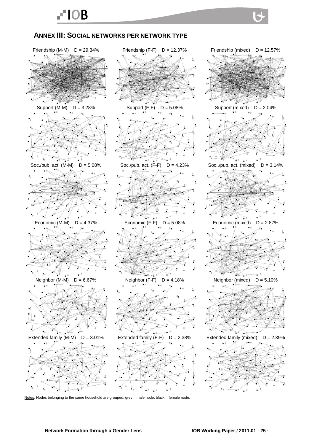<span id="page-24-0"></span>

Notes: Nodes belonging to the same household are grouped; grey = male node, black = female node.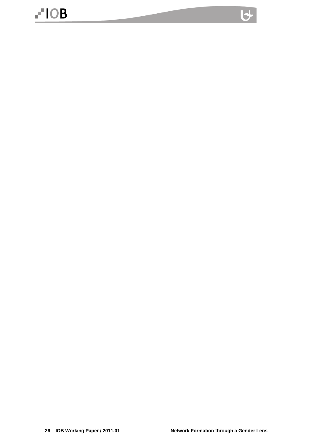